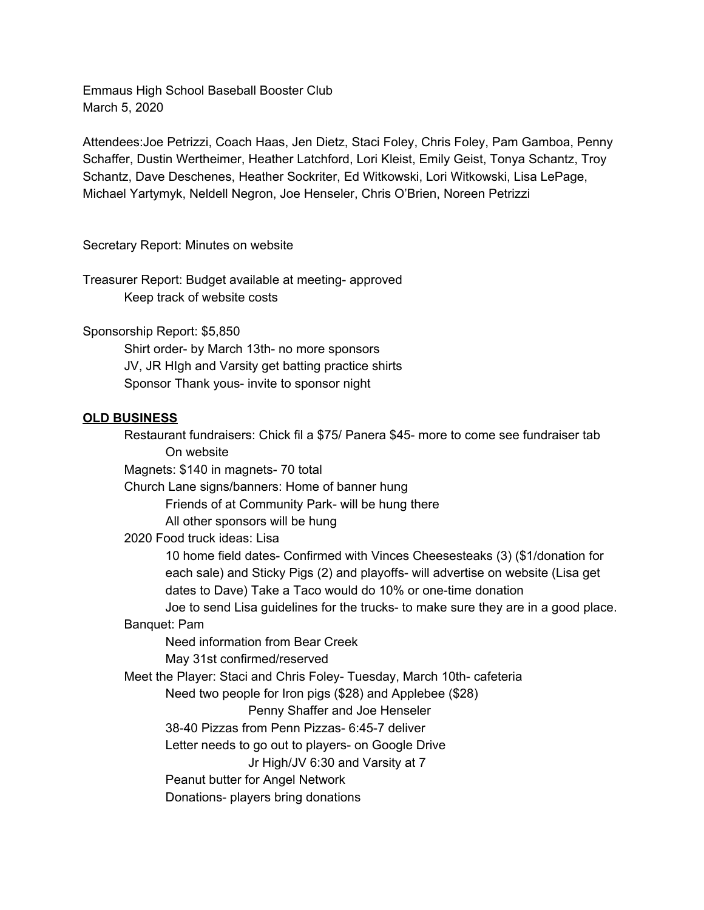Emmaus High School Baseball Booster Club March 5, 2020

Attendees:Joe Petrizzi, Coach Haas, Jen Dietz, Staci Foley, Chris Foley, Pam Gamboa, Penny Schaffer, Dustin Wertheimer, Heather Latchford, Lori Kleist, Emily Geist, Tonya Schantz, Troy Schantz, Dave Deschenes, Heather Sockriter, Ed Witkowski, Lori Witkowski, Lisa LePage, Michael Yartymyk, Neldell Negron, Joe Henseler, Chris O'Brien, Noreen Petrizzi

Secretary Report: Minutes on website

Treasurer Report: Budget available at meeting- approved Keep track of website costs

Sponsorship Report: \$5,850

Shirt order- by March 13th- no more sponsors JV, JR HIgh and Varsity get batting practice shirts Sponsor Thank yous- invite to sponsor night

## **OLD BUSINESS**

Restaurant fundraisers: Chick fil a \$75/ Panera \$45- more to come see fundraiser tab On website Magnets: \$140 in magnets- 70 total Church Lane signs/banners: Home of banner hung Friends of at Community Park- will be hung there All other sponsors will be hung 2020 Food truck ideas: Lisa 10 home field dates- Confirmed with Vinces Cheesesteaks (3) (\$1/donation for each sale) and Sticky Pigs (2) and playoffs- will advertise on website (Lisa get dates to Dave) Take a Taco would do 10% or one-time donation Joe to send Lisa guidelines for the trucks- to make sure they are in a good place. Banquet: Pam Need information from Bear Creek May 31st confirmed/reserved Meet the Player: Staci and Chris Foley- Tuesday, March 10th- cafeteria Need two people for Iron pigs (\$28) and Applebee (\$28) Penny Shaffer and Joe Henseler 38-40 Pizzas from Penn Pizzas- 6:45-7 deliver Letter needs to go out to players- on Google Drive Jr High/JV 6:30 and Varsity at 7 Peanut butter for Angel Network Donations- players bring donations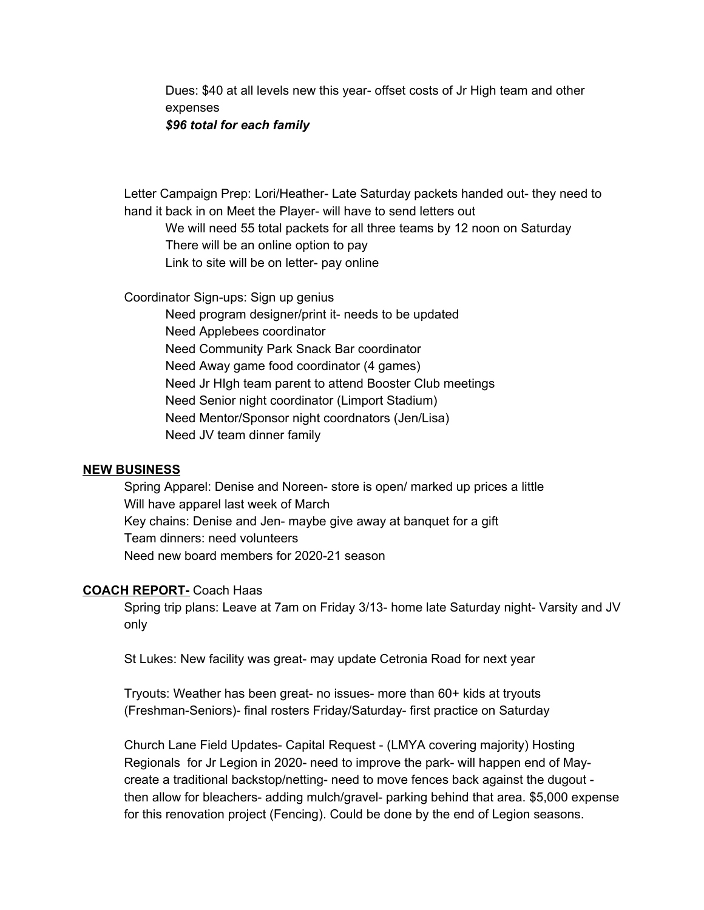Dues: \$40 at all levels new this year- offset costs of Jr High team and other expenses *\$96 total for each family*

Letter Campaign Prep: Lori/Heather- Late Saturday packets handed out- they need to hand it back in on Meet the Player- will have to send letters out

We will need 55 total packets for all three teams by 12 noon on Saturday There will be an online option to pay Link to site will be on letter- pay online

Coordinator Sign-ups: Sign up genius

Need program designer/print it- needs to be updated Need Applebees coordinator Need Community Park Snack Bar coordinator Need Away game food coordinator (4 games) Need Jr HIgh team parent to attend Booster Club meetings Need Senior night coordinator (Limport Stadium) Need Mentor/Sponsor night coordnators (Jen/Lisa) Need JV team dinner family

## **NEW BUSINESS**

Spring Apparel: Denise and Noreen- store is open/ marked up prices a little Will have apparel last week of March Key chains: Denise and Jen- maybe give away at banquet for a gift Team dinners: need volunteers Need new board members for 2020-21 season

## **COACH REPORT-** Coach Haas

Spring trip plans: Leave at 7am on Friday 3/13- home late Saturday night- Varsity and JV only

St Lukes: New facility was great- may update Cetronia Road for next year

Tryouts: Weather has been great- no issues- more than 60+ kids at tryouts (Freshman-Seniors)- final rosters Friday/Saturday- first practice on Saturday

Church Lane Field Updates- Capital Request - (LMYA covering majority) Hosting Regionals for Jr Legion in 2020- need to improve the park- will happen end of Maycreate a traditional backstop/netting- need to move fences back against the dugout then allow for bleachers- adding mulch/gravel- parking behind that area. \$5,000 expense for this renovation project (Fencing). Could be done by the end of Legion seasons.